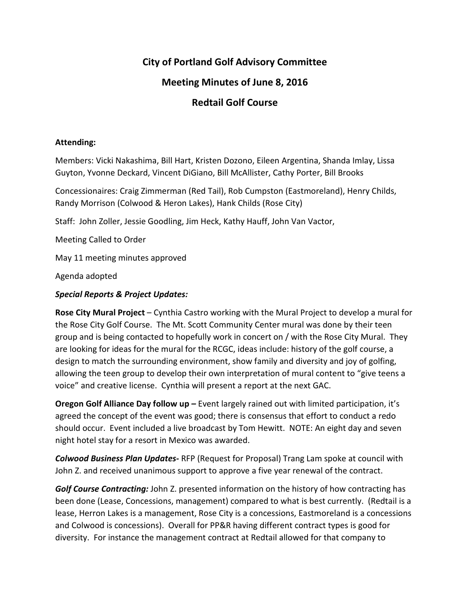# **City of Portland Golf Advisory Committee**

## **Meeting Minutes of June 8, 2016**

### **Redtail Golf Course**

#### **Attending:**

Members: Vicki Nakashima, Bill Hart, Kristen Dozono, Eileen Argentina, Shanda Imlay, Lissa Guyton, Yvonne Deckard, Vincent DiGiano, Bill McAllister, Cathy Porter, Bill Brooks

Concessionaires: Craig Zimmerman (Red Tail), Rob Cumpston (Eastmoreland), Henry Childs, Randy Morrison (Colwood & Heron Lakes), Hank Childs (Rose City)

Staff: John Zoller, Jessie Goodling, Jim Heck, Kathy Hauff, John Van Vactor,

Meeting Called to Order

May 11 meeting minutes approved

Agenda adopted

### *Special Reports & Project Updates:*

**Rose City Mural Project** – Cynthia Castro working with the Mural Project to develop a mural for the Rose City Golf Course. The Mt. Scott Community Center mural was done by their teen group and is being contacted to hopefully work in concert on / with the Rose City Mural. They are looking for ideas for the mural for the RCGC, ideas include: history of the golf course, a design to match the surrounding environment, show family and diversity and joy of golfing, allowing the teen group to develop their own interpretation of mural content to "give teens a voice" and creative license. Cynthia will present a report at the next GAC.

**Oregon Golf Alliance Day follow up** *–* Event largely rained out with limited participation, it's agreed the concept of the event was good; there is consensus that effort to conduct a redo should occur. Event included a live broadcast by Tom Hewitt. NOTE: An eight day and seven night hotel stay for a resort in Mexico was awarded.

*Colwood Business Plan Updates-* RFP (Request for Proposal) Trang Lam spoke at council with John Z. and received unanimous support to approve a five year renewal of the contract.

*Golf Course Contracting:* John Z. presented information on the history of how contracting has been done (Lease, Concessions, management) compared to what is best currently. (Redtail is a lease, Herron Lakes is a management, Rose City is a concessions, Eastmoreland is a concessions and Colwood is concessions). Overall for PP&R having different contract types is good for diversity. For instance the management contract at Redtail allowed for that company to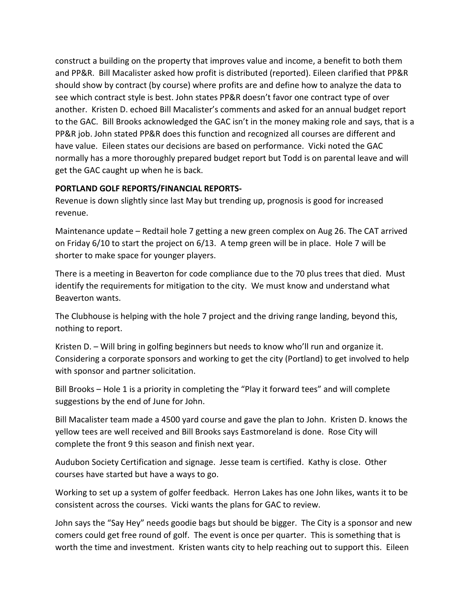construct a building on the property that improves value and income, a benefit to both them and PP&R. Bill Macalister asked how profit is distributed (reported). Eileen clarified that PP&R should show by contract (by course) where profits are and define how to analyze the data to see which contract style is best. John states PP&R doesn't favor one contract type of over another. Kristen D. echoed Bill Macalister's comments and asked for an annual budget report to the GAC. Bill Brooks acknowledged the GAC isn't in the money making role and says, that is a PP&R job. John stated PP&R does this function and recognized all courses are different and have value. Eileen states our decisions are based on performance. Vicki noted the GAC normally has a more thoroughly prepared budget report but Todd is on parental leave and will get the GAC caught up when he is back.

### **PORTLAND GOLF REPORTS/FINANCIAL REPORTS-**

Revenue is down slightly since last May but trending up, prognosis is good for increased revenue.

Maintenance update – Redtail hole 7 getting a new green complex on Aug 26. The CAT arrived on Friday 6/10 to start the project on 6/13. A temp green will be in place. Hole 7 will be shorter to make space for younger players.

There is a meeting in Beaverton for code compliance due to the 70 plus trees that died. Must identify the requirements for mitigation to the city. We must know and understand what Beaverton wants.

The Clubhouse is helping with the hole 7 project and the driving range landing, beyond this, nothing to report.

Kristen D. – Will bring in golfing beginners but needs to know who'll run and organize it. Considering a corporate sponsors and working to get the city (Portland) to get involved to help with sponsor and partner solicitation.

Bill Brooks - Hole 1 is a priority in completing the "Play it forward tees" and will complete suggestions by the end of June for John.

Bill Macalister team made a 4500 yard course and gave the plan to John. Kristen D. knows the yellow tees are well received and Bill Brooks says Eastmoreland is done. Rose City will complete the front 9 this season and finish next year.

Audubon Society Certification and signage. Jesse team is certified. Kathy is close. Other courses have started but have a ways to go.

Working to set up a system of golfer feedback. Herron Lakes has one John likes, wants it to be consistent across the courses. Vicki wants the plans for GAC to review.

John says the "Say Hey" needs goodie bags but should be bigger. The City is a sponsor and new comers could get free round of golf. The event is once per quarter. This is something that is worth the time and investment. Kristen wants city to help reaching out to support this. Eileen